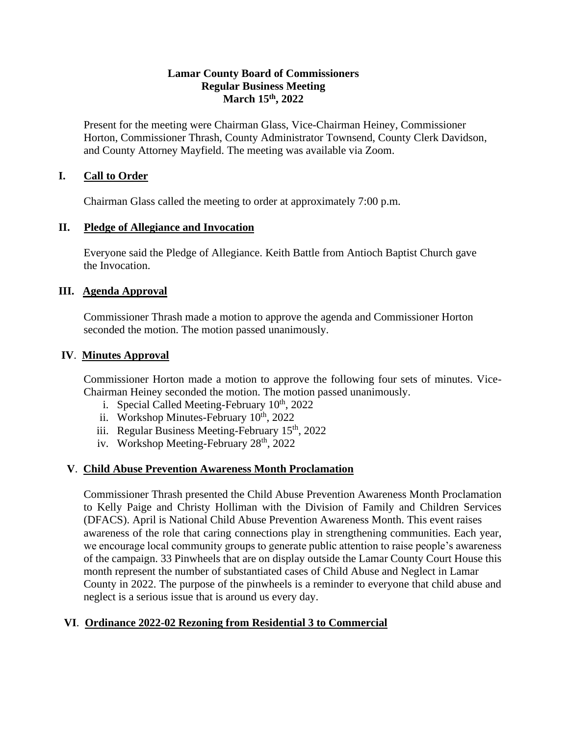### **Lamar County Board of Commissioners Regular Business Meeting March 15th, 2022**

Present for the meeting were Chairman Glass, Vice-Chairman Heiney, Commissioner Horton, Commissioner Thrash, County Administrator Townsend, County Clerk Davidson, and County Attorney Mayfield. The meeting was available via Zoom.

# **I. Call to Order**

Chairman Glass called the meeting to order at approximately 7:00 p.m.

### **II. Pledge of Allegiance and Invocation**

Everyone said the Pledge of Allegiance. Keith Battle from Antioch Baptist Church gave the Invocation.

### **III. Agenda Approval**

Commissioner Thrash made a motion to approve the agenda and Commissioner Horton seconded the motion. The motion passed unanimously.

### **IV**. **Minutes Approval**

Commissioner Horton made a motion to approve the following four sets of minutes. Vice-Chairman Heiney seconded the motion. The motion passed unanimously.

- i. Special Called Meeting-February  $10^{th}$ , 2022
- ii. Workshop Minutes-February  $10^{th}$ , 2022
- iii. Regular Business Meeting-February  $15<sup>th</sup>$ , 2022
- iv. Workshop Meeting-February 28<sup>th</sup>, 2022

# **V**. **Child Abuse Prevention Awareness Month Proclamation**

Commissioner Thrash presented the Child Abuse Prevention Awareness Month Proclamation to Kelly Paige and Christy Holliman with the Division of Family and Children Services (DFACS). April is National Child Abuse Prevention Awareness Month. This event raises awareness of the role that caring connections play in strengthening communities. Each year, we encourage local community groups to generate public attention to raise people's awareness of the campaign. 33 Pinwheels that are on display outside the Lamar County Court House this month represent the number of substantiated cases of Child Abuse and Neglect in Lamar County in 2022. The purpose of the pinwheels is a reminder to everyone that child abuse and neglect is a serious issue that is around us every day.

# **VI**. **Ordinance 2022-02 Rezoning from Residential 3 to Commercial**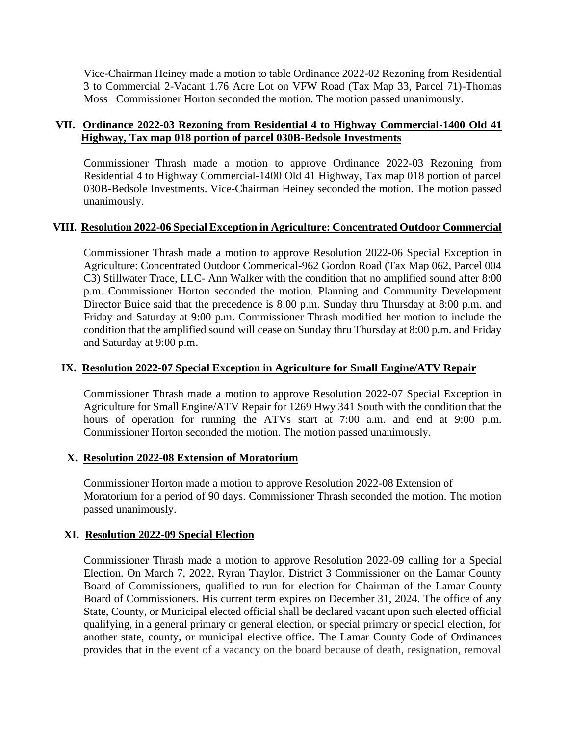Vice-Chairman Heiney made a motion to table Ordinance 2022-02 Rezoning from Residential 3 to Commercial 2-Vacant 1.76 Acre Lot on VFW Road (Tax Map 33, Parcel 71)-Thomas Moss Commissioner Horton seconded the motion. The motion passed unanimously.

# **VII. Ordinance 2022-03 Rezoning from Residential 4 to Highway Commercial-1400 Old 41 Highway, Tax map 018 portion of parcel 030B-Bedsole Investments**

 Commissioner Thrash made a motion to approve Ordinance 2022-03 Rezoning from Residential 4 to Highway Commercial-1400 Old 41 Highway, Tax map 018 portion of parcel 030B-Bedsole Investments. Vice-Chairman Heiney seconded the motion. The motion passed unanimously.

# **VIII. Resolution 2022-06 Special Exception in Agriculture: Concentrated Outdoor Commercial**

Commissioner Thrash made a motion to approve Resolution 2022-06 Special Exception in Agriculture: Concentrated Outdoor Commerical-962 Gordon Road (Tax Map 062, Parcel 004 C3) Stillwater Trace, LLC- Ann Walker with the condition that no amplified sound after 8:00 p.m. Commissioner Horton seconded the motion. Planning and Community Development Director Buice said that the precedence is 8:00 p.m. Sunday thru Thursday at 8:00 p.m. and Friday and Saturday at 9:00 p.m. Commissioner Thrash modified her motion to include the condition that the amplified sound will cease on Sunday thru Thursday at 8:00 p.m. and Friday and Saturday at 9:00 p.m.

### **IX. Resolution 2022-07 Special Exception in Agriculture for Small Engine/ATV Repair**

Commissioner Thrash made a motion to approve Resolution 2022-07 Special Exception in Agriculture for Small Engine/ATV Repair for 1269 Hwy 341 South with the condition that the hours of operation for running the ATVs start at 7:00 a.m. and end at 9:00 p.m. Commissioner Horton seconded the motion. The motion passed unanimously.

# **X. Resolution 2022-08 Extension of Moratorium**

Commissioner Horton made a motion to approve Resolution 2022-08 Extension of Moratorium for a period of 90 days. Commissioner Thrash seconded the motion. The motion passed unanimously.

# **XI. Resolution 2022-09 Special Election**

Commissioner Thrash made a motion to approve Resolution 2022-09 calling for a Special Election. On March 7, 2022, Ryran Traylor, District 3 Commissioner on the Lamar County Board of Commissioners, qualified to run for election for Chairman of the Lamar County Board of Commissioners. His current term expires on December 31, 2024. The office of any State, County, or Municipal elected official shall be declared vacant upon such elected official qualifying, in a general primary or general election, or special primary or special election, for another state, county, or municipal elective office. The Lamar County Code of Ordinances provides that in the event of a vacancy on the board because of death, resignation, removal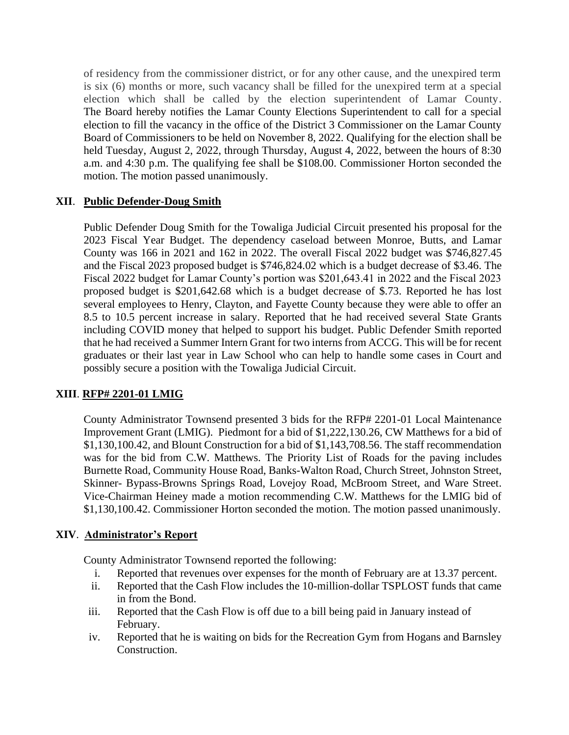of residency from the commissioner district, or for any other cause, and the unexpired term is six (6) months or more, such vacancy shall be filled for the unexpired term at a special election which shall be called by the election superintendent of Lamar County. The Board hereby notifies the Lamar County Elections Superintendent to call for a special election to fill the vacancy in the office of the District 3 Commissioner on the Lamar County Board of Commissioners to be held on November 8, 2022. Qualifying for the election shall be held Tuesday, August 2, 2022, through Thursday, August 4, 2022, between the hours of 8:30 a.m. and 4:30 p.m. The qualifying fee shall be \$108.00. Commissioner Horton seconded the motion. The motion passed unanimously.

# **XII**. **Public Defender-Doug Smith**

Public Defender Doug Smith for the Towaliga Judicial Circuit presented his proposal for the 2023 Fiscal Year Budget. The dependency caseload between Monroe, Butts, and Lamar County was 166 in 2021 and 162 in 2022. The overall Fiscal 2022 budget was \$746,827.45 and the Fiscal 2023 proposed budget is \$746,824.02 which is a budget decrease of \$3.46. The Fiscal 2022 budget for Lamar County's portion was \$201,643.41 in 2022 and the Fiscal 2023 proposed budget is \$201,642.68 which is a budget decrease of \$.73. Reported he has lost several employees to Henry, Clayton, and Fayette County because they were able to offer an 8.5 to 10.5 percent increase in salary. Reported that he had received several State Grants including COVID money that helped to support his budget. Public Defender Smith reported that he had received a Summer Intern Grant for two interns from ACCG. This will be for recent graduates or their last year in Law School who can help to handle some cases in Court and possibly secure a position with the Towaliga Judicial Circuit.

# **XIII**. **RFP# 2201-01 LMIG**

County Administrator Townsend presented 3 bids for the RFP# 2201-01 Local Maintenance Improvement Grant (LMIG). Piedmont for a bid of \$1,222,130.26, CW Matthews for a bid of \$1,130,100.42, and Blount Construction for a bid of \$1,143,708.56. The staff recommendation was for the bid from C.W. Matthews. The Priority List of Roads for the paving includes Burnette Road, Community House Road, Banks-Walton Road, Church Street, Johnston Street, Skinner- Bypass-Browns Springs Road, Lovejoy Road, McBroom Street, and Ware Street. Vice-Chairman Heiney made a motion recommending C.W. Matthews for the LMIG bid of \$1,130,100.42. Commissioner Horton seconded the motion. The motion passed unanimously.

# **XIV**. **Administrator's Report**

County Administrator Townsend reported the following:

- i. Reported that revenues over expenses for the month of February are at 13.37 percent.
- ii. Reported that the Cash Flow includes the 10-million-dollar TSPLOST funds that came in from the Bond.
- iii. Reported that the Cash Flow is off due to a bill being paid in January instead of February.
- iv. Reported that he is waiting on bids for the Recreation Gym from Hogans and Barnsley Construction.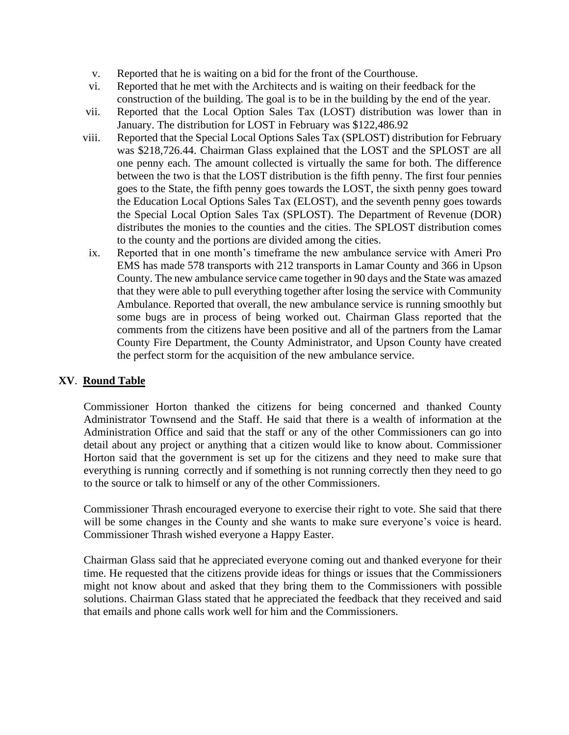- v. Reported that he is waiting on a bid for the front of the Courthouse.
- vi. Reported that he met with the Architects and is waiting on their feedback for the construction of the building. The goal is to be in the building by the end of the year.
- vii. Reported that the Local Option Sales Tax (LOST) distribution was lower than in January. The distribution for LOST in February was \$122,486.92
- viii. Reported that the Special Local Options Sales Tax (SPLOST) distribution for February was \$218,726.44. Chairman Glass explained that the LOST and the SPLOST are all one penny each. The amount collected is virtually the same for both. The difference between the two is that the LOST distribution is the fifth penny. The first four pennies goes to the State, the fifth penny goes towards the LOST, the sixth penny goes toward the Education Local Options Sales Tax (ELOST), and the seventh penny goes towards the Special Local Option Sales Tax (SPLOST). The Department of Revenue (DOR) distributes the monies to the counties and the cities. The SPLOST distribution comes to the county and the portions are divided among the cities.
- ix. Reported that in one month's timeframe the new ambulance service with Ameri Pro EMS has made 578 transports with 212 transports in Lamar County and 366 in Upson County. The new ambulance service came together in 90 days and the State was amazed that they were able to pull everything together after losing the service with Community Ambulance. Reported that overall, the new ambulance service is running smoothly but some bugs are in process of being worked out. Chairman Glass reported that the comments from the citizens have been positive and all of the partners from the Lamar County Fire Department, the County Administrator, and Upson County have created the perfect storm for the acquisition of the new ambulance service.

# **XV**. **Round Table**

Commissioner Horton thanked the citizens for being concerned and thanked County Administrator Townsend and the Staff. He said that there is a wealth of information at the Administration Office and said that the staff or any of the other Commissioners can go into detail about any project or anything that a citizen would like to know about. Commissioner Horton said that the government is set up for the citizens and they need to make sure that everything is running correctly and if something is not running correctly then they need to go to the source or talk to himself or any of the other Commissioners.

Commissioner Thrash encouraged everyone to exercise their right to vote. She said that there will be some changes in the County and she wants to make sure everyone's voice is heard. Commissioner Thrash wished everyone a Happy Easter.

Chairman Glass said that he appreciated everyone coming out and thanked everyone for their time. He requested that the citizens provide ideas for things or issues that the Commissioners might not know about and asked that they bring them to the Commissioners with possible solutions. Chairman Glass stated that he appreciated the feedback that they received and said that emails and phone calls work well for him and the Commissioners.